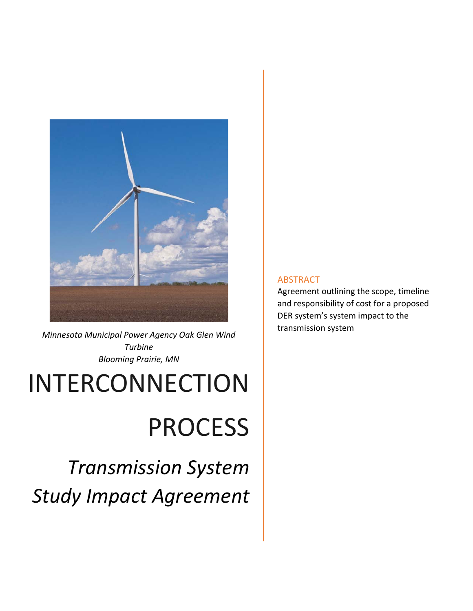

*Minnesota Municipal Power Agency Oak Glen Wind Turbine Blooming Prairie, MN* 

## INTERCONNECTION

# PROCESS

*Transmission System Study Impact Agreement* 

### ABSTRACT

Agreement outlining the scope, timeline and responsibility of cost for a proposed DER system's system impact to the transmission system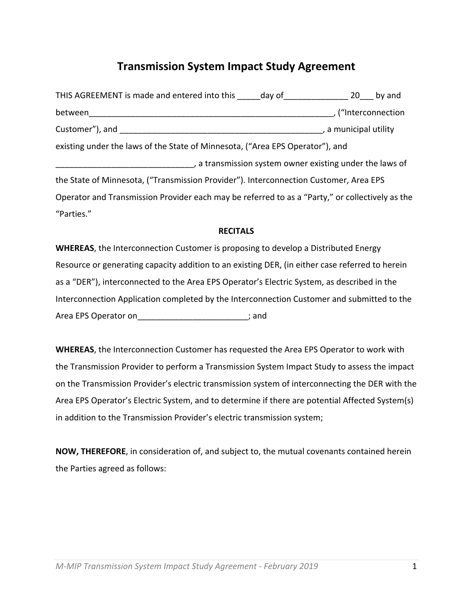## **Transmission System Impact Study Agreement**

| THIS AGREEMENT is made and entered into this day of 20 by and                                   |                                                          |  |
|-------------------------------------------------------------------------------------------------|----------------------------------------------------------|--|
| between                                                                                         | , ("Interconnection                                      |  |
|                                                                                                 | , a municipal utility                                    |  |
| existing under the laws of the State of Minnesota, ("Area EPS Operator"), and                   |                                                          |  |
|                                                                                                 | , a transmission system owner existing under the laws of |  |
| the State of Minnesota, ("Transmission Provider"). Interconnection Customer, Area EPS           |                                                          |  |
| Operator and Transmission Provider each may be referred to as a "Party," or collectively as the |                                                          |  |
| "Parties."                                                                                      |                                                          |  |

#### **RECITALS**

**WHEREAS**, the Interconnection Customer is proposing to develop a Distributed Energy Resource or generating capacity addition to an existing DER, (in either case referred to herein as a "DER"), interconnected to the Area EPS Operator's Electric System, as described in the Interconnection Application completed by the Interconnection Customer and submitted to the Area EPS Operator on the control of the control of the control of the control of the control of the control of the control of the control of the control of the control of the control of the control of the control of the co

**WHEREAS**, the Interconnection Customer has requested the Area EPS Operator to work with the Transmission Provider to perform a Transmission System Impact Study to assess the impact on the Transmission Provider's electric transmission system of interconnecting the DER with the Area EPS Operator's Electric System, and to determine if there are potential Affected System(s) in addition to the Transmission Provider's electric transmission system;

**NOW, THEREFORE**, in consideration of, and subject to, the mutual covenants contained herein the Parties agreed as follows: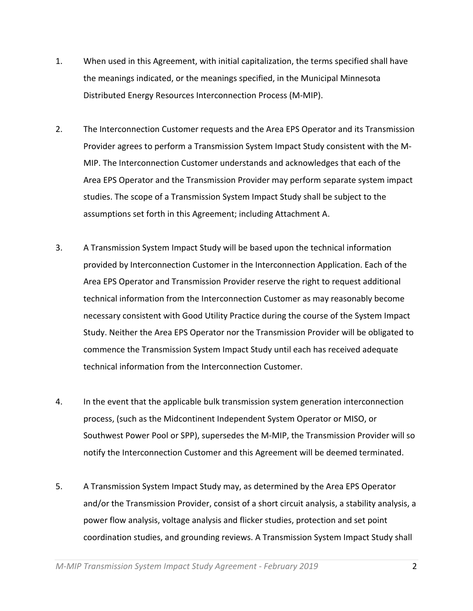- 1. When used in this Agreement, with initial capitalization, the terms specified shall have the meanings indicated, or the meanings specified, in the Municipal Minnesota Distributed Energy Resources Interconnection Process (M‐MIP).
- 2. The Interconnection Customer requests and the Area EPS Operator and its Transmission Provider agrees to perform a Transmission System Impact Study consistent with the M‐ MIP. The Interconnection Customer understands and acknowledges that each of the Area EPS Operator and the Transmission Provider may perform separate system impact studies. The scope of a Transmission System Impact Study shall be subject to the assumptions set forth in this Agreement; including Attachment A.
- 3. A Transmission System Impact Study will be based upon the technical information provided by Interconnection Customer in the Interconnection Application. Each of the Area EPS Operator and Transmission Provider reserve the right to request additional technical information from the Interconnection Customer as may reasonably become necessary consistent with Good Utility Practice during the course of the System Impact Study. Neither the Area EPS Operator nor the Transmission Provider will be obligated to commence the Transmission System Impact Study until each has received adequate technical information from the Interconnection Customer.
- 4. In the event that the applicable bulk transmission system generation interconnection process, (such as the Midcontinent Independent System Operator or MISO, or Southwest Power Pool or SPP), supersedes the M‐MIP, the Transmission Provider will so notify the Interconnection Customer and this Agreement will be deemed terminated.
- 5. A Transmission System Impact Study may, as determined by the Area EPS Operator and/or the Transmission Provider, consist of a short circuit analysis, a stability analysis, a power flow analysis, voltage analysis and flicker studies, protection and set point coordination studies, and grounding reviews. A Transmission System Impact Study shall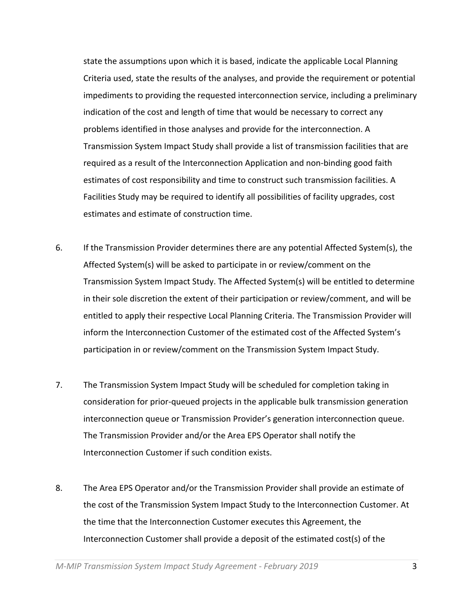state the assumptions upon which it is based, indicate the applicable Local Planning Criteria used, state the results of the analyses, and provide the requirement or potential impediments to providing the requested interconnection service, including a preliminary indication of the cost and length of time that would be necessary to correct any problems identified in those analyses and provide for the interconnection. A Transmission System Impact Study shall provide a list of transmission facilities that are required as a result of the Interconnection Application and non‐binding good faith estimates of cost responsibility and time to construct such transmission facilities. A Facilities Study may be required to identify all possibilities of facility upgrades, cost estimates and estimate of construction time.

- 6. If the Transmission Provider determines there are any potential Affected System(s), the Affected System(s) will be asked to participate in or review/comment on the Transmission System Impact Study. The Affected System(s) will be entitled to determine in their sole discretion the extent of their participation or review/comment, and will be entitled to apply their respective Local Planning Criteria. The Transmission Provider will inform the Interconnection Customer of the estimated cost of the Affected System's participation in or review/comment on the Transmission System Impact Study.
- 7. The Transmission System Impact Study will be scheduled for completion taking in consideration for prior‐queued projects in the applicable bulk transmission generation interconnection queue or Transmission Provider's generation interconnection queue. The Transmission Provider and/or the Area EPS Operator shall notify the Interconnection Customer if such condition exists.
- 8. The Area EPS Operator and/or the Transmission Provider shall provide an estimate of the cost of the Transmission System Impact Study to the Interconnection Customer. At the time that the Interconnection Customer executes this Agreement, the Interconnection Customer shall provide a deposit of the estimated cost(s) of the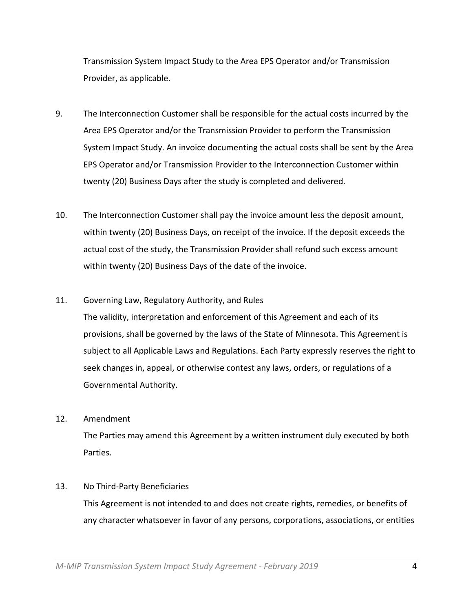Transmission System Impact Study to the Area EPS Operator and/or Transmission Provider, as applicable.

- 9. The Interconnection Customer shall be responsible for the actual costs incurred by the Area EPS Operator and/or the Transmission Provider to perform the Transmission System Impact Study. An invoice documenting the actual costs shall be sent by the Area EPS Operator and/or Transmission Provider to the Interconnection Customer within twenty (20) Business Days after the study is completed and delivered.
- 10. The Interconnection Customer shall pay the invoice amount less the deposit amount, within twenty (20) Business Days, on receipt of the invoice. If the deposit exceeds the actual cost of the study, the Transmission Provider shall refund such excess amount within twenty (20) Business Days of the date of the invoice.
- 11. Governing Law, Regulatory Authority, and Rules

The validity, interpretation and enforcement of this Agreement and each of its provisions, shall be governed by the laws of the State of Minnesota. This Agreement is subject to all Applicable Laws and Regulations. Each Party expressly reserves the right to seek changes in, appeal, or otherwise contest any laws, orders, or regulations of a Governmental Authority.

12. Amendment

The Parties may amend this Agreement by a written instrument duly executed by both Parties.

13. No Third‐Party Beneficiaries

This Agreement is not intended to and does not create rights, remedies, or benefits of any character whatsoever in favor of any persons, corporations, associations, or entities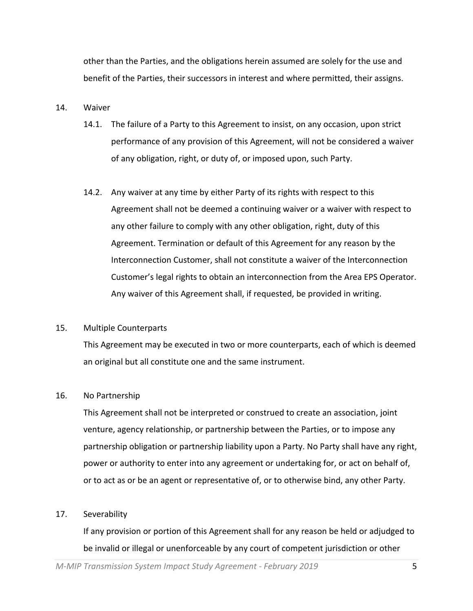other than the Parties, and the obligations herein assumed are solely for the use and benefit of the Parties, their successors in interest and where permitted, their assigns.

#### 14. Waiver

- 14.1. The failure of a Party to this Agreement to insist, on any occasion, upon strict performance of any provision of this Agreement, will not be considered a waiver of any obligation, right, or duty of, or imposed upon, such Party.
- 14.2. Any waiver at any time by either Party of its rights with respect to this Agreement shall not be deemed a continuing waiver or a waiver with respect to any other failure to comply with any other obligation, right, duty of this Agreement. Termination or default of this Agreement for any reason by the Interconnection Customer, shall not constitute a waiver of the Interconnection Customer's legal rights to obtain an interconnection from the Area EPS Operator. Any waiver of this Agreement shall, if requested, be provided in writing.

#### 15. Multiple Counterparts

This Agreement may be executed in two or more counterparts, each of which is deemed an original but all constitute one and the same instrument.

#### 16. No Partnership

This Agreement shall not be interpreted or construed to create an association, joint venture, agency relationship, or partnership between the Parties, or to impose any partnership obligation or partnership liability upon a Party. No Party shall have any right, power or authority to enter into any agreement or undertaking for, or act on behalf of, or to act as or be an agent or representative of, or to otherwise bind, any other Party.

#### 17. Severability

If any provision or portion of this Agreement shall for any reason be held or adjudged to be invalid or illegal or unenforceable by any court of competent jurisdiction or other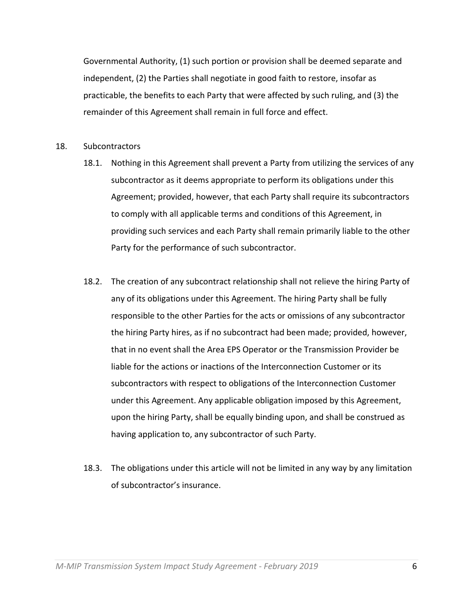Governmental Authority, (1) such portion or provision shall be deemed separate and independent, (2) the Parties shall negotiate in good faith to restore, insofar as practicable, the benefits to each Party that were affected by such ruling, and (3) the remainder of this Agreement shall remain in full force and effect.

- 18. Subcontractors
	- 18.1. Nothing in this Agreement shall prevent a Party from utilizing the services of any subcontractor as it deems appropriate to perform its obligations under this Agreement; provided, however, that each Party shall require its subcontractors to comply with all applicable terms and conditions of this Agreement, in providing such services and each Party shall remain primarily liable to the other Party for the performance of such subcontractor.
	- 18.2. The creation of any subcontract relationship shall not relieve the hiring Party of any of its obligations under this Agreement. The hiring Party shall be fully responsible to the other Parties for the acts or omissions of any subcontractor the hiring Party hires, as if no subcontract had been made; provided, however, that in no event shall the Area EPS Operator or the Transmission Provider be liable for the actions or inactions of the Interconnection Customer or its subcontractors with respect to obligations of the Interconnection Customer under this Agreement. Any applicable obligation imposed by this Agreement, upon the hiring Party, shall be equally binding upon, and shall be construed as having application to, any subcontractor of such Party.
	- 18.3. The obligations under this article will not be limited in any way by any limitation of subcontractor's insurance.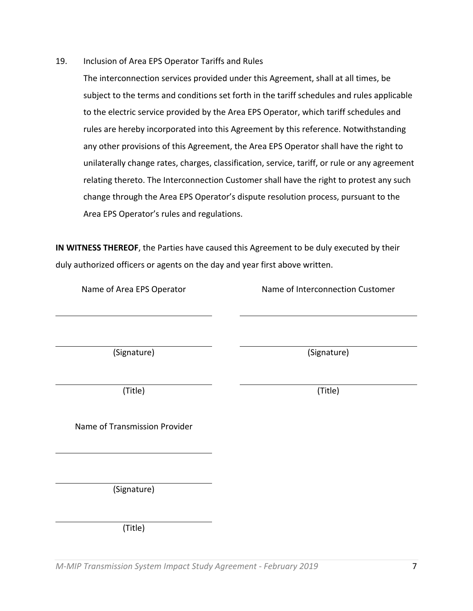19. Inclusion of Area EPS Operator Tariffs and Rules

The interconnection services provided under this Agreement, shall at all times, be subject to the terms and conditions set forth in the tariff schedules and rules applicable to the electric service provided by the Area EPS Operator, which tariff schedules and rules are hereby incorporated into this Agreement by this reference. Notwithstanding any other provisions of this Agreement, the Area EPS Operator shall have the right to unilaterally change rates, charges, classification, service, tariff, or rule or any agreement relating thereto. The Interconnection Customer shall have the right to protest any such change through the Area EPS Operator's dispute resolution process, pursuant to the Area EPS Operator's rules and regulations.

**IN WITNESS THEREOF**, the Parties have caused this Agreement to be duly executed by their duly authorized officers or agents on the day and year first above written.

Name of Area EPS Operator *Name of Interconnection Customer* 

(Signature) (Signature)

(Title) (Title)

Name of Transmission Provider

(Signature)

(Title)